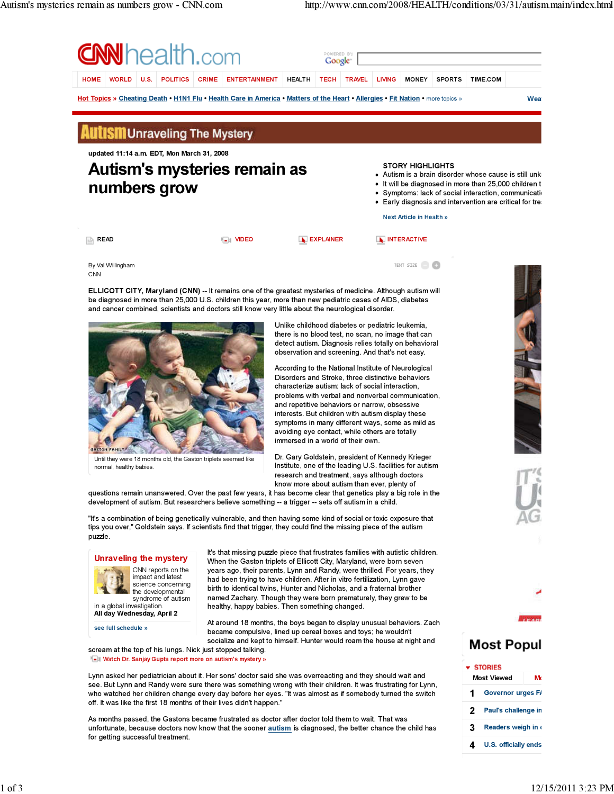

who watched her children change every day before her eyes. "It was almost as if somebody turned the switch off. It was like the first 18 months of their lives didn't happen." As months passed, the Gastons became frustrated as doctor after doctor told them to wait. That was unfortunate, because doctors now know that the sooner autism is diagnosed, the better chance the child has

for getting successful treatment.

2 Paul's challenge in 3 Readers weigh in 4 U.S. officially ends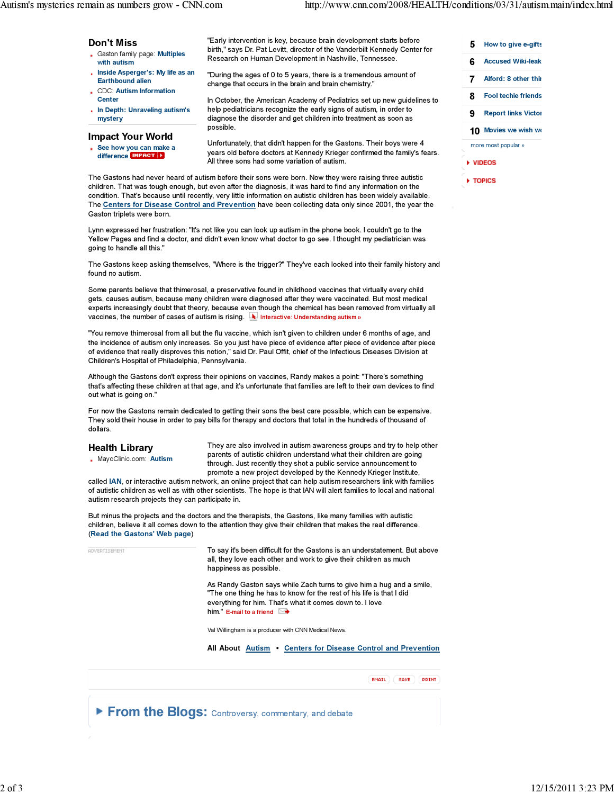## Don't Miss

- Gaston family page: Multiples with autism
- . Inside Asperger's: My life as an Earthbound alien
- CDC: Autism Information **Center**
- . In Depth: Unraveling autism's mystery

## Impact Your World

See how you can make a difference IMPACT

change that occurs in the brain and brain chemistry." In October, the American Academy of Pediatrics set up new guidelines to help pediatricians recognize the early signs of autism, in order to diagnose the disorder and get children into treatment as soon as

"Early intervention is key, because brain development starts before birth," says Dr. Pat Levitt, director of the Vanderbilt Kennedy Center for Research on Human Development in Nashville, Tennessee. "During the ages of 0 to 5 years, there is a tremendous amount of

Unfortunately, that didn't happen for the Gastons. Their boys were 4 years old before doctors at Kennedy Krieger confirmed the family's fears. All three sons had some variation of autism.

The Gastons had never heard of autism before their sons were born. Now they were raising three autistic children. That was tough enough, but even after the diagnosis, it was hard to find any information on the condition. That's because until recently, very little information on autistic children has been widely available. The Centers for Disease Control and Prevention have been collecting data only since 2001, the year the Gaston triplets were born.

possible.

Lynn expressed her frustration: "It's not like you can look up autism in the phone book. I couldn't go to the Yellow Pages and find a doctor, and didn't even know what doctor to go see. I thought my pediatrician was going to handle all this."

The Gastons keep asking themselves, "Where is the trigger?" They've each looked into their family history and found no autism.

Some parents believe that thimerosal, a preservative found in childhood vaccines that virtually every child gets, causes autism, because many children were diagnosed after they were vaccinated. But most medical experts increasingly doubt that theory, because even though the chemical has been removed from virtually all vaccines, the number of cases of autism is rising.  $\blacktriangle$  Interactive: Understanding autism »

"You remove thimerosal from all but the flu vaccine, which isn't given to children under 6 months of age, and the incidence of autism only increases. So you just have piece of evidence after piece of evidence after piece of evidence that really disproves this notion," said Dr. Paul Offit, chief of the Infectious Diseases Division at Children's Hospital of Philadelphia, Pennsylvania.

Although the Gastons don't express their opinions on vaccines, Randy makes a point: "There's something that's affecting these children at that age, and it's unfortunate that families are left to their own devices to find out what is going on."

For now the Gastons remain dedicated to getting their sons the best care possible, which can be expensive. They sold their house in order to pay bills for therapy and doctors that total in the hundreds of thousand of dollars.

## Health Library

 $\overline{AB}$ 

MayoClinic.com: Autism

They are also involved in autism awareness groups and try to help other parents of autistic children understand what their children are going through. Just recently they shot a public service announcement to promote a new project developed by the Kennedy Krieger Institute,

called IAN, or interactive autism network, an online project that can help autism researchers link with families of autistic children as well as with other scientists. The hope is that IAN will alert families to local and national autism research projects they can participate in.

But minus the projects and the doctors and the therapists, the Gastons, like many families with autistic children, believe it all comes down to the attention they give their children that makes the real difference. (Read the Gastons' Web page)

| VERTISEMENT | To say it's been difficult for the Gastons is an understatement. But above<br>all, they love each other and work to give their children as much<br>happiness as possible.<br>As Randy Gaston says while Zach turns to give him a hug and a smile,<br>"The one thing he has to know for the rest of his life is that I did<br>everything for him. That's what it comes down to. I love<br>him. E-mail to a friend $\rightarrow$ |  |  |  |
|-------------|--------------------------------------------------------------------------------------------------------------------------------------------------------------------------------------------------------------------------------------------------------------------------------------------------------------------------------------------------------------------------------------------------------------------------------|--|--|--|
|             |                                                                                                                                                                                                                                                                                                                                                                                                                                |  |  |  |
|             | Val Willingham is a producer with CNN Medical News.                                                                                                                                                                                                                                                                                                                                                                            |  |  |  |
|             | All About Autism • Centers for Disease Control and Prevention                                                                                                                                                                                                                                                                                                                                                                  |  |  |  |
|             |                                                                                                                                                                                                                                                                                                                                                                                                                                |  |  |  |
|             | <b>EMAIL</b><br>SAVE<br><b>PRINT</b>                                                                                                                                                                                                                                                                                                                                                                                           |  |  |  |

From the Blogs: Controversy, commentary, and debate

5 How to give e-gifts 6 Accused Wiki-leak Alford: 8 other thin **Fool techie friends** Report links Victor 10 Movies we wish we more most popular »  $\triangleright$  VIDEOS

TOPICS